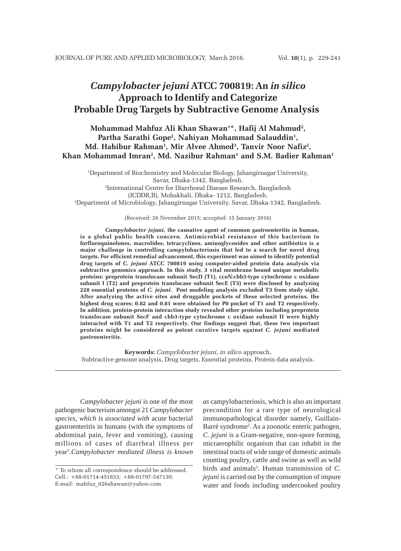# *Campylobacter jejuni* **ATCC 700819: An** *in silico* **Approach to Identify and Categorize Probable Drug Targets by Subtractive Genome Analysis**

**Mohammad Mahfuz Ali Khan Shawan1 \*, Hafij Al Mahmud2 ,** Partha Sarathi Gope<sup>2</sup>, Nahiyan Mohammad Salauddin<sup>1</sup>, **Md. Habibur Rahman1 , Mir Alvee Ahmed3 , Tanvir Noor Nafiz2 , Khan Mohammad Imran2 , Md. Nazibur Rahman1 and S.M. Badier Rahman1**

1 Department of Biochemistry and Molecular Biology, Jahangirnagar University, Savar, Dhaka-1342, Bangladesh. 2 International Centre for Diarrhoeal Disease Research, Bangladesh (ICDDR,B), Mohakhali, Dhaka- 1212, Bangladesh. 3 Department of Microbiology, Jahangirnagar University, Savar, Dhaka-1342, Bangladesh.

#### (Received: 26 November 2015; accepted: 15 January 2016)

*Campylobacter jejuni,* **the causative agent of common gastroenteritis in human, is a global public health concern. Antimicrobial resistance of this bacterium to forfluroquinolones, macrolides, tetracyclines, aminoglycosides and other antibiotics is a major challenge in controlling campylobacteriosis that led to a search for novel drug targets. For efficient remedial advancement, this experiment was aimed to identify potential drug targets of** *C. jejuni* **ATCC 700819 using computer-aided protein data analysis via subtractive genomics approach. In this study, 3 vital membrane bound unique metabolic proteins: preprotein translocase subunit SecD (T1), ccoN:cbb3-type cytochrome c oxidase subunit I (T2) and preprotein translocase subunit SecE (T3) were disclosed by analyzing 228 essential proteins of** *C. jejuni***. Post modeling analysis excluded T3 from study sight. After analyzing the active sites and druggable pockets of these selected proteins, the highest drug scores: 0.82 and 0.81 were obtained for P0 pocket of T1 and T2 respectively. In addition, protein-protein interaction study revealed other proteins including preprotein translocase subunit SecF and cbb3-type cytochrome c oxidase subunit II were highly interacted with T1 and T2 respectively. Our findings suggest that, these two important proteins might be considered as potent curative targets against** *C. jejuni* **mediated gastroenteritis.**

**Keywords:** *Campylobacter jejuni*, *in silico* approach, Subtractive genome analysis, Drug targets, Essential proteins, Protein data analysis.

*Campylobacter jejuni* is one of the most pathogenic bacterium amongst 21 *Campylobacter species, which is associated with* acute bacterial gastroenteritis in humans (with the symptoms of abdominal pain, fever and vomiting), causing millions of cases of diarrheal illness per year1 .*Campylobacter mediated illness is known*

*as* campylobacteriosis, which is also an important precondition for a rare type of neurological immunopathological disorder namely, Guillain-Barré syndrome2 . As a zoonotic enteric pathogen, *C. jejuni* is a Gram-negative, non-spore forming, micraerophilic organism that can inhabit in the intestinal tracts of wide range of domestic animals counting poultry, cattle and swine as well as wild birds and animals<sup>3</sup>. Human transmission of *C*. *jejuni* is carried out by the consumption of impure water and foods including undercooked poultry

<sup>\*</sup> To whom all correspondence should be addressed. Cell.: +88-01714-451833; +88-01797-547130; E-mail: mahfuz\_026shawan@yahoo.com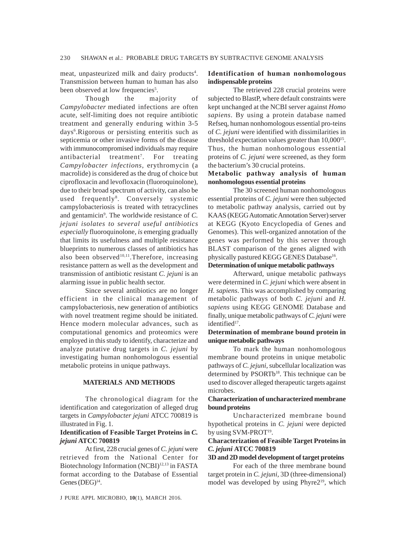meat, unpasteurized milk and dairy products<sup>4</sup>. Transmission between human to human has also been observed at low frequencies<sup>5</sup>.

Though the majority of *Campylobacter* mediated infections are often acute, self-limiting does not require antibiotic treatment and generally enduring within 3-5 days<sup>6</sup>. Rigorous or persisting enteritis such as septicemia or other invasive forms of the disease with immunocompromised individuals may require antibacterial treatment<sup>7</sup>. For treating *Campylobacter infections*, erythromycin (a macrolide) is considered as the drug of choice but ciprofloxacin and levofloxacin (fluoroquinolone), due to their broad spectrum of activity, can also be used frequently<sup>8</sup>. Conversely systemic campylobacteriosis is treated with tetracyclines and gentamicin9 . The worldwide resistance of *C. jejuni isolates to several useful antibiotics especially* fluoroquinolone*, is* emerging gradually that limits its usefulness and multiple resistance blueprints to numerous classes of antibiotics has also been observed<sup>10,11</sup>. Therefore, increasing resistance pattern as well as the development and transmission of antibiotic resistant *C. jejuni* is an alarming issue in public health sector.

Since several antibiotics are no longer efficient in the clinical management of campylobacteriosis, new generation of antibiotics with novel treatment regime should be initiated. Hence modern molecular advances, such as computational genomics and proteomics were employed in this study to identify, characterize and analyze putative drug targets in *C. jejuni* by investigating human nonhomologous essential metabolic proteins in unique pathways.

### **MATERIALS AND METHODS**

The chronological diagram for the identification and categorization of alleged drug targets in *Campylobacter jejuni* ATCC 700819 is illustrated in Fig. 1.

### **Identification of Feasible Target Proteins in** *C. jejuni* **ATCC 700819**

At first, 228 crucial genes of *C. jejuni* were retrieved from the National Center for Biotechnology Information (NCBI)<sup>12,13</sup> in FASTA format according to the Database of Essential Genes  $(DEG)^{14}$ .

#### J PURE APPL MICROBIO*,* **10**(1), MARCH 2016.

### **Identification of human nonhomologous indispensable proteins**

The retrieved 228 crucial proteins were subjected to BlastP, where default constraints were kept unchanged at the NCBI server against *Homo sapiens*. By using a protein database named Refseq, human nonhomologous essential pro-teins of *C. jejuni* were identified with dissimilarities in threshold expectation values greater than 10,000<sup>15</sup>. Thus, the human nonhomologous essential proteins of *C. jejuni* were screened, as they form the bacterium's 30 crucial proteins.

### **Metabolic pathway analysis of human nonhomologous essential proteins**

The 30 screened human nonhomologous essential proteins of *C. jejuni* were then subjected to metabolic pathway analysis, carried out by KAAS (KEGG Automatic Annotation Server) server at KEGG (Kyoto Encyclopedia of Genes and Genomes). This well-organized annotation of the genes was performed by this server through BLAST comparison of the genes aligned with physically pastured KEGG GENES Database<sup>16</sup>.

### **Determination of unique metabolic pathways**

Afterward, unique metabolic pathways were determined in *C. jejuni* which were absent in *H. sapiens*. This was accomplished by comparing metabolic pathways of both *C. jejuni* and *H. sapiens* using KEGG GENOME Database and finally, unique metabolic pathways of *C. jejuni* were identified<sup>17</sup>.

### **Determination of membrane bound protein in unique metabolic pathways**

To mark the human nonhomologous membrane bound proteins in unique metabolic pathways of *C. jejuni*, subcellular localization was determined by PSORTb<sup>18</sup>. This technique can be used to discover alleged therapeutic targets against microbes.

### **Characterization of uncharacterized membrane bound proteins**

Uncharacterized membrane bound hypothetical proteins in *C. jejuni* were depicted by using SVM-PROT<sup>19</sup>.

### **Characterization of Feasible Target Proteins in** *C. jejuni* **ATCC 700819**

#### **3D and 2D model development of target proteins**

For each of the three membrane bound target protein in *C. jejuni,* 3D (three-dimensional) model was developed by using Phyre2<sup>19</sup>, which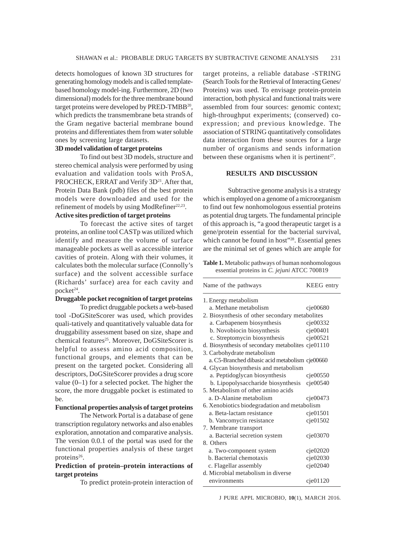detects homologues of known 3D structures for generating homology models and is called templatebased homology model-ing. Furthermore, 2D (two dimensional) models for the three membrane bound target proteins were developed by PRED-TMBB<sup>20</sup>, which predicts the transmembrane beta strands of the Gram negative bacterial membrane bound proteins and differentiates them from water soluble ones by screening large datasets.

### **3D model validation of target proteins**

To find out best 3D models, structure and stereo chemical analysis were performed by using evaluation and validation tools with ProSA, PROCHECK, ERRAT and Verify 3D<sup>21</sup>. After that, Protein Data Bank (pdb) files of the best protein models were downloaded and used for the refinement of models by using ModRefiner<sup>22,23</sup>. **Active sites prediction of target proteins**

### To forecast the active sites of target proteins, an online tool CASTp was utilized which identify and measure the volume of surface manageable pockets as well as accessible interior cavities of protein. Along with their volumes, it calculates both the molecular surface (Connolly's

surface) and the solvent accessible surface (Richards' surface) area for each cavity and pocket<sup>24</sup>.

# **Druggable pocket recognition of target proteins**

To predict druggable pockets a web-based tool -DoGSiteScorer was used, which provides quali-tatively and quantitatively valuable data for druggability assessment based on size, shape and chemical features<sup>25</sup>. Moreover, DoGSiteScorer is helpful to assess amino acid composition, functional groups, and elements that can be present on the targeted pocket. Considering all descriptors, DoGSiteScorer provides a drug score value (0–1) for a selected pocket. The higher the score, the more druggable pocket is estimated to be.

# **Functional properties analysis of target proteins**

The Network Portal is a database of gene transcription regulatory networks and also enables exploration, annotation and comparative analysis. The version 0.0.1 of the portal was used for the functional properties analysis of these target proteins<sup>26</sup>.

### **Prediction of protein–protein interactions of target proteins**

To predict protein-protein interaction of

target proteins, a reliable database -STRING (Search Tools for the Retrieval of Interacting Genes/ Proteins) was used. To envisage protein-protein interaction, both physical and functional traits were assembled from four sources: genomic context; high-throughput experiments; (conserved) coexpression; and previous knowledge. The association of STRING quantitatively consolidates data interaction from these sources for a large number of organisms and sends information between these organisms when it is pertinent<sup>27</sup>.

### **RESULTS AND DISCUSSION**

Subtractive genome analysis is a strategy which is employed on a genome of a microorganism to find out few nonhomologous essential proteins as potential drug targets. The fundamental principle of this approach is, "a good therapeutic target is a gene/protein essential for the bacterial survival, which cannot be found in host"<sup>28</sup>. Essential genes are the minimal set of genes which are ample for

**Table 1.** Metabolic pathways of human nonhomologous essential proteins in *C. jejuni* ATCC 700819

| Name of the pathways                              | KEEG entry |
|---------------------------------------------------|------------|
| 1. Energy metabolism                              |            |
| a. Methane metabolism                             | cje00680   |
| 2. Biosynthesis of other secondary metabolites    |            |
| a. Carbapenem biosynthesis                        | cje00332   |
| b. Novobiocin biosynthesis                        | cje00401   |
| c. Streptomycin biosynthesis                      | cie00521   |
| d. Biosynthesis of secondary metabolites cje01110 |            |
| 3. Carbohydrate metabolism                        |            |
| a. C5-Branched dibasic acid metabolism cje00660   |            |
| 4. Glycan biosynthesis and metabolism             |            |
| a. Peptidoglycan biosynthesis                     | cje00550   |
| b. Lipopolysaccharide biosynthesis                | cie00540   |
| 5. Metabolism of other amino acids                |            |
| a. D-Alanine metabolism                           | cje00473   |
| 6. Xenobiotics biodegradation and metabolism      |            |
| a. Beta-lactam resistance                         | cie01501   |
| b. Vancomycin resistance                          | cie01502   |
| 7. Membrane transport                             |            |
| a. Bacterial secretion system                     | cie03070   |
| 8. Others                                         |            |
| a. Two-component system                           | cie02020   |
| <b>b.</b> Bacterial chemotaxis                    | cje02030   |
| c. Flagellar assembly                             | cie02040   |
| d. Microbial metabolism in diverse                |            |
| environments                                      | cie01120   |
|                                                   |            |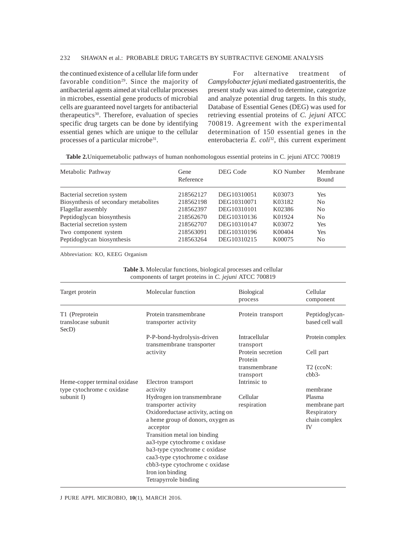### 232 SHAWAN et al.: PROBABLE DRUG TARGETS BY SUBTRACTIVE GENOME ANALYSIS

the continued existence of a cellular life form under favorable condition<sup>29</sup>. Since the majority of antibacterial agents aimed at vital cellular processes in microbes, essential gene products of microbial cells are guaranteed novel targets for antibacterial therapeutics<sup>30</sup>. Therefore, evaluation of species specific drug targets can be done by identifying essential genes which are unique to the cellular processes of a particular microbe<sup>31</sup>.

For alternative treatment of *Campylobacter jejuni* mediated gastroenteritis, the present study was aimed to determine, categorize and analyze potential drug targets. In this study, Database of Essential Genes (DEG) was used for retrieving essential proteins of *C. jejuni* ATCC 700819. Agreement with the experimental determination of 150 essential genes in the enterobacteria *E. coli*<sup>32</sup>, this current experiment

|  |  | <b>Table 2.</b> Uniquemetabolic pathways of human nonhomologous essential proteins in C. jejuni ATCC 700819 |  |  |
|--|--|-------------------------------------------------------------------------------------------------------------|--|--|
|  |  |                                                                                                             |  |  |

| Metabolic Pathway                     | Gene<br>Reference | DEG Code    | KO Number | Membrane<br><b>Bound</b> |
|---------------------------------------|-------------------|-------------|-----------|--------------------------|
| Bacterial secretion system            | 218562127         | DEG10310051 | K03073    | <b>Yes</b>               |
| Biosynthesis of secondary metabolites | 218562198         | DEG10310071 | K03182    | N <sub>0</sub>           |
| Flagellar assembly                    | 218562397         | DEG10310101 | K02386    | N <sub>0</sub>           |
| Peptidoglycan biosynthesis            | 218562670         | DEG10310136 | K01924    | N <sub>0</sub>           |
| Bacterial secretion system            | 218562707         | DEG10310147 | K03072    | Yes                      |
| Two component system                  | 218563091         | DEG10310196 | K00404    | <b>Yes</b>               |
| Peptidoglycan biosynthesis            | 218563264         | DEG10310215 | K00075    | No                       |

Abbreviation: KO, KEEG Organism

**Table 3.** Molecular functions, biological processes and cellular components of target proteins in *C. jejuni* ATCC 700819

| Target protein                                 | Molecular function                                                                                                                                                                                                                                                                                                                                          | <b>Biological</b><br>process | Cellular<br>component                                                |
|------------------------------------------------|-------------------------------------------------------------------------------------------------------------------------------------------------------------------------------------------------------------------------------------------------------------------------------------------------------------------------------------------------------------|------------------------------|----------------------------------------------------------------------|
| T1 (Preprotein<br>translocase subunit<br>SecD) | Protein transmembrane<br>transporter activity                                                                                                                                                                                                                                                                                                               | Protein transport            | Peptidoglycan-<br>based cell wall                                    |
|                                                | P-P-bond-hydrolysis-driven<br>transmembrane transporter                                                                                                                                                                                                                                                                                                     | Intracellular<br>transport   | Protein complex                                                      |
|                                                | activity                                                                                                                                                                                                                                                                                                                                                    | Protein secretion<br>Protein | Cell part                                                            |
|                                                |                                                                                                                                                                                                                                                                                                                                                             | transmembrane<br>transport   | $T2$ (ccoN:<br>$cbb3-$                                               |
| Heme-copper terminal oxidase                   | Electron transport                                                                                                                                                                                                                                                                                                                                          | Intrinsic to                 |                                                                      |
| type cytochrome c oxidase                      | activity                                                                                                                                                                                                                                                                                                                                                    |                              | membrane                                                             |
| subunit I)                                     | Hydrogen ion transmembrane<br>transporter activity<br>Oxidoreductase activity, acting on<br>a heme group of donors, oxygen as<br>acceptor<br>Transition metal ion binding<br>aa3-type cytochrome c oxidase<br>ba3-type cytochrome c oxidase<br>caa3-type cytochrome c oxidase<br>cbb3-type cytochrome c oxidase<br>Iron ion binding<br>Tetrapyrrole binding | Cellular<br>respiration      | Plasma<br>membrane part<br>Respiratory<br>chain complex<br><b>IV</b> |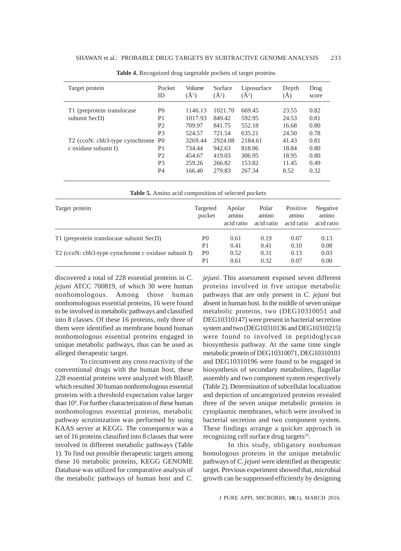| Target protein                    | Pocket<br>ID   | Volume<br>$(\AA^3)$ | Surface<br>$(\AA^2)$ | Liposurface<br>$\mathring{A}^2$ | Depth<br>(A) | Drug<br>score |
|-----------------------------------|----------------|---------------------|----------------------|---------------------------------|--------------|---------------|
| T1 (preprotein translocase)       | P <sub>0</sub> | 1146.13             | 1021.70              | 669.45                          | 23.55        | 0.82          |
| subunit SecD)                     | P1             | 1017.93             | 849.42               | 592.95                          | 24.53        | 0.81          |
|                                   | P <sub>2</sub> | 709.97              | 841.75               | 552.18                          | 16.68        | 0.80          |
|                                   | P <sub>3</sub> | 524.57              | 721.54               | 635.21                          | 24.50        | 0.78          |
| T2 (ccoN: cbb3-type cytochrome P0 |                | 3269.44             | 2924.08              | 2184.61                         | 41.43        | 0.81          |
| c oxidase subunit I)              | P1             | 734.44              | 942.63               | 818.06                          | 18.84        | 0.80          |
|                                   | P <sub>2</sub> | 454.67              | 419.03               | 306.95                          | 18.95        | 0.80          |
|                                   | P <sub>3</sub> | 259.26              | 266.82               | 153.82                          | 11.45        | 0.49          |
|                                   | P <sub>4</sub> | 166.40              | 279.83               | 267.34                          | 8.52         | 0.32          |

**Table 4.** Recognized drug targetable pockets of target proteins

| Table 5. Amino acid composition of selected pockets |                    |                               |                              |                                 |                                 |
|-----------------------------------------------------|--------------------|-------------------------------|------------------------------|---------------------------------|---------------------------------|
| Target protein                                      | Targeted<br>pocket | Apolar<br>amino<br>acid ratio | Polar<br>amino<br>acid ratio | Positive<br>amino<br>acid ratio | Negative<br>amino<br>acid ratio |
| T1 (preprotein translocase subunit SecD)            | P <sub>0</sub>     | 0.61                          | 0.19                         | 0.07                            | 0.13                            |
|                                                     | P <sub>1</sub>     | 0.41                          | 0.41                         | 0.10                            | 0.08                            |
| T2 (ccoN: cbb3-type cytochrome c oxidase subunit I) | P <sub>0</sub>     | 0.52                          | 0.31                         | 0.13                            | 0.03                            |
|                                                     | P <sub>1</sub>     | 0.61                          | 0.32                         | 0.07                            | 0.00                            |

discovered a total of 228 essential proteins in *C. jejuni* ATCC 700819, of which 30 were human nonhomologous. Among those human nonhomologous essential proteins, 16 were found to be involved in metabolic pathways and classified into 8 classes. Of these 16 proteins, only three of them were identified as membrane bound human nonhomologous essential proteins engaged in unique metabolic pathways, thus can be used as alleged therapeutic target.

To circumvent any cross reactivity of the conventional drugs with the human host, these 228 essential proteins were analyzed with BlastP, which resulted 30 human nonhomologous essential proteins with a threshold expectation value larger than 104 . For further characterization of these human nonhomologous essential proteins, metabolic pathway scrutinization was performed by using KAAS server at KEGG. The consequence was a set of 16 proteins classified into 8 classes that were involved in different metabolic pathways (Table 1). To find out possible therapeutic targets among these 16 metabolic proteins, KEGG GENOME Database was utilized for comparative analysis of the metabolic pathways of human host and *C.*

*jejuni*. This assessment exposed seven different proteins involved in five unique metabolic pathways that are only present in *C. jejuni* but absent in human host. In the middle of seven unique metabolic proteins, two (DEG10310051 and DEG10310147) were present in bacterial secretion system and two (DEG10310136 and DEG10310215) were found to involved in peptidoglycan biosynthesis pathway. At the same time single metabolic protein of DEG10310071, DEG10310101 and DEG10310196 were found to be engaged in biosynthesis of secondary metabolites, flagellar assembly and two component system respectively (Table 2). Determination of subcellular localization and depiction of uncategorized proteins revealed three of the seven unique metabolic proteins in cytoplasmic membranes, which were involved in bacterial secretion and two component system. These findings arrange a quicker approach in recognizing cell surface drug targets<sup>33</sup>.

In this study, obligatory nonhuman homologous proteins in the unique metabolic pathways of *C. jejuni* were identified as therapeutic target. Previous experiment showed that, microbial growth can be suppressed efficiently by designing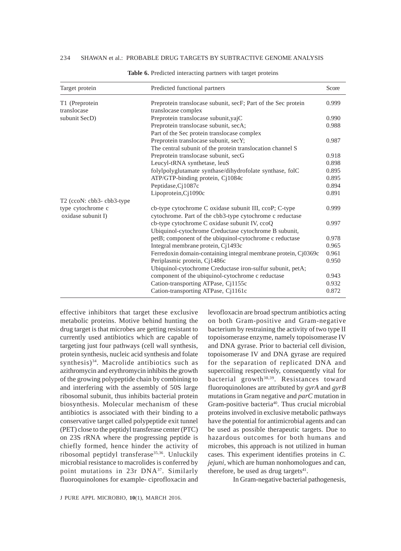| Target protein                | Predicted functional partners                                                        | Score |
|-------------------------------|--------------------------------------------------------------------------------------|-------|
| T1 (Preprotein<br>translocase | Preprotein translocase subunit, secF; Part of the Sec protein<br>translocase complex | 0.999 |
| subunit SecD)                 | Preprotein translocase subunit, yajC                                                 | 0.990 |
|                               | Preprotein translocase subunit, secA;                                                | 0.988 |
|                               | Part of the Sec protein translocase complex                                          |       |
|                               | Preprotein translocase subunit, secY;                                                | 0.987 |
|                               | The central subunit of the protein translocation channel S                           |       |
|                               | Preprotein translocase subunit, secG                                                 | 0.918 |
|                               | Leucyl-tRNA synthetase, leuS                                                         | 0.898 |
|                               | folylpolyglutamate synthase/dihydrofolate synthase, folC                             | 0.895 |
|                               | ATP/GTP-binding protein, Cj1084c                                                     | 0.895 |
|                               | Peptidase, Cj1087c                                                                   | 0.894 |
|                               | Lipoprotein, Cj1090c                                                                 | 0.891 |
| T2 (ccoN: cbb3-cbb3-type      |                                                                                      |       |
| type cytochrome c             | cb-type cytochrome C oxidase subunit III, ccoP; C-type                               | 0.999 |
| oxidase subunit I)            | cytochrome. Part of the cbb3-type cytochrome c reductase                             |       |
|                               | cb-type cytochrome C oxidase subunit IV, ccoQ                                        | 0.997 |
|                               | Ubiquinol-cytochrome Creductase cytochrome B subunit,                                |       |
|                               | petB; component of the ubiquinol-cytochrome c reductase                              | 0.978 |
|                               | Integral membrane protein, Cj1493c                                                   | 0.965 |
|                               | Ferredoxin domain-containing integral membrane protein, Cj0369c                      | 0.961 |
|                               | Periplasmic protein, Cj1486c                                                         | 0.950 |
|                               | Ubiquinol-cytochrome Creductase iron-sulfur subunit, petA;                           |       |
|                               | component of the ubiquinol-cytochrome c reductase                                    | 0.943 |
|                               | Cation-transporting ATPase, Cj1155c                                                  | 0.932 |
|                               | Cation-transporting ATPase, Ci1161c                                                  | 0.872 |

**Table 6.** Predicted interacting partners with target proteins

effective inhibitors that target these exclusive metabolic proteins. Motive behind hunting the drug target is that microbes are getting resistant to currently used antibiotics which are capable of targeting just four pathways (cell wall synthesis, protein synthesis, nucleic acid synthesis and folate synthesis)<sup>34</sup>. Macrolide antibiotics such as azithromycin and erythromycin inhibits the growth of the growing polypeptide chain by combining to and interfering with the assembly of 50S large ribosomal subunit, thus inhibits bacterial protein biosynthesis. Molecular mechanism of these antibiotics is associated with their binding to a conservative target called polypeptide exit tunnel (PET) close to the peptidyl transferase center (PTC) on 23S rRNA where the progressing peptide is chiefly formed, hence hinder the activity of ribosomal peptidyl transferase<sup>35,36</sup>. Unluckily microbial resistance to macrolides is conferred by point mutations in 23r DNA37. Similarly fluoroquinolones for example- ciprofloxacin and levofloxacin are broad spectrum antibiotics acting on both Gram-positive and Gram-negative bacterium by restraining the activity of two type II topoisomerase enzyme, namely topoisomerase IV and DNA gyrase. Prior to bacterial cell division, topoisomerase IV and DNA gyrase are required for the separation of replicated DNA and supercoiling respectively, consequently vital for bacterial growth<sup>38,39</sup>. Resistances toward fluoroquinolones are attributed by *gyrA* and *gyrB* mutations in Gram negative and *parC* mutation in Gram-positive bacteria<sup>40</sup>. Thus crucial microbial proteins involved in exclusive metabolic pathways have the potential for antimicrobial agents and can be used as possible therapeutic targets. Due to hazardous outcomes for both humans and microbes, this approach is not utilized in human cases. This experiment identifies proteins in *C. jejuni*, which are human nonhomologues and can, therefore, be used as drug targets<sup>41</sup>.

In Gram-negative bacterial pathogenesis,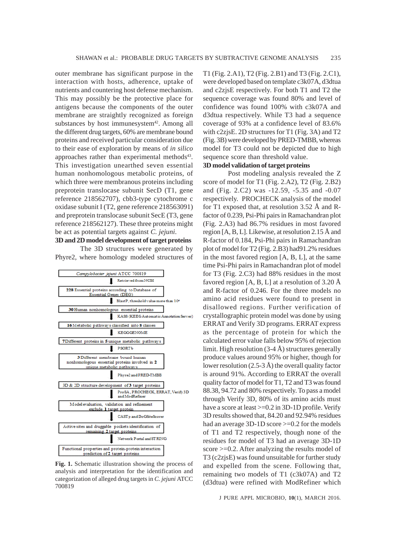outer membrane has significant purpose in the interaction with hosts, adherence, uptake of nutrients and countering host defense mechanism. This may possibly be the protective place for antigens because the components of the outer membrane are straightly recognized as foreign substances by host immunesystem<sup>42</sup>. Among all the different drug targets, 60% are membrane bound proteins and received particular consideration due to their ease of exploration by means of *in silico* approaches rather than experimental methods<sup>43</sup>. This investigation unearthed seven essential human nonhomologous metabolic proteins, of which three were membranous proteins including preprotein translocase subunit SecD (T1, gene reference 218562707), cbb3-type cytochrome c oxidase subunit I (T2, gene reference 218563091) and preprotein translocase subunit SecE (T3, gene reference 218562127). These three proteins might be act as potential targets against *C. jejuni*.

## **3D and 2D model development of target proteins**

The 3D structures were generated by Phyre2, where homology modeled structures of



**Fig. 1.** Schematic illustration showing the process of analysis and interpretation for the identification and categorization of alleged drug targets in *C. jejuni* ATCC 700819

T1 (Fig. 2.A1), T2 (Fig. 2.B1) and T3 (Fig. 2.C1), were developed based on template c3k07A, d3dtua and c2zjsE respectively. For both T1 and T2 the sequence coverage was found 80% and level of confidence was found 100% with c3k07A and d3dtua respectively. While T3 had a sequence coverage of 93% at a confidence level of 83.6% with c2zjsE. 2D structures for T1 (Fig. 3A) and T2 (Fig. 3B) were developed by PRED-TMBB, whereas model for T3 could not be depicted due to high sequence score than threshold value.

### **3D model validation of target proteins**

Post modeling analysis revealed the Z score of model for T1 (Fig. 2.A2), T2 (Fig. 2.B2) and (Fig. 2.C2) was -12.59, -5.35 and -0.07 respectively. PROCHECK analysis of the model for T1 exposed that, at resolution 3.52 Å and Rfactor of 0.239, Psi-Phi pairs in Ramachandran plot (Fig. 2.A3) had 86.7% residues in most favored region [A, B, L]. Likewise, at resolution 2.15 Å and R-factor of 0.184, Psi-Phi pairs in Ramachandran plot of model for T2 (Fig. 2.B3) had91.2% residues in the most favored region [A, B, L], at the same time Psi-Phi pairs in Ramachandran plot of model for T3 (Fig. 2.C3) had 88% residues in the most favored region  $[A, B, L]$  at a resolution of 3.20 Å and R-factor of 0.246. For the three models no amino acid residues were found to present in disallowed regions. Further verification of crystallographic protein model was done by using ERRAT and Verify 3D programs. ERRAT express as the percentage of protein for which the calculated error value falls below 95% of rejection limit. High resolution (3-4 Å) structures generally produce values around 95% or higher, though for lower resolution (2.5-3 Å) the overall quality factor is around 91%. According to ERRAT the overall quality factor of model for T1, T2 and T3 was found 88.38, 94.72 and 80% respectively. To pass a model through Verify 3D, 80% of its amino acids must have a score at least  $>=0.2$  in 3D-1D profile. Verify 3D results showed that, 84.20 and 92.94% residues had an average 3D-1D score  $>=0.2$  for the models of T1 and T2 respectively, though none of the residues for model of T3 had an average 3D-1D score >=0.2. After analyzing the results model of T3 (c2zjsE) was found unsuitable for further study and expelled from the scene. Following that, remaining two models of T1 (c3k07A) and T2 (d3dtua) were refined with ModRefiner which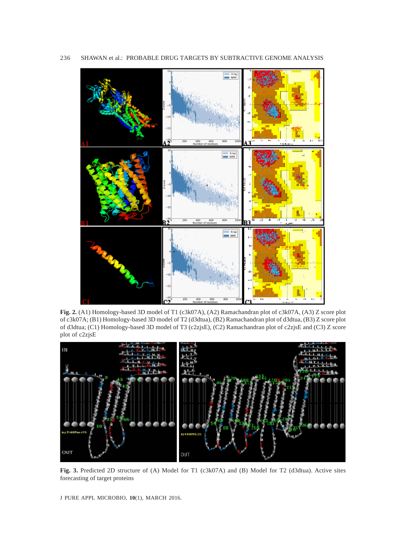

**Fig. 2.** (A1) Homology-based 3D model of T1 (c3k07A), (A2) Ramachandran plot of c3k07A, (A3) Z score plot of c3k07A; (B1) Homology-based 3D model of T2 (d3dtua), (B2) Ramachandran plot of d3dtua, (B3) Z score plot of d3dtua; (C1) Homology-based 3D model of T3 (c2zjsE), (C2) Ramachandran plot of c2zjsE and (C3) Z score plot of c2zjsE



**Fig. 3.** Predicted 2D structure of (A) Model for T1 (c3k07A) and (B) Model for T2 (d3dtua). Active sites forecasting of target proteins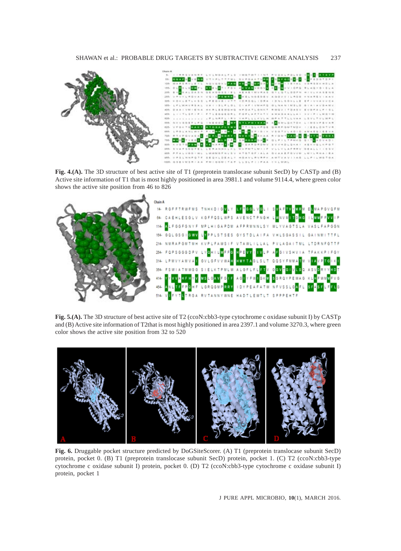

**Fig. 4.(A).** The 3D structure of best active site of T1 (preprotein translocase subunit SecD) by CASTp and (B) Active site information of T1 that is most highly positioned in area 3981.1 and volume 9114.4, where green color shows the active site position from 46 to 826



Fig. 5.(A). The 3D structure of best active site of T2 (ccoN:cbb3-type cytochrome c oxidase subunit I) by CASTp and (B) Active site information of T2that is most highly positioned in area 2397.1 and volume 3270.3, where green color shows the active site position from 32 to 520



**Fig. 6.** Druggable pocket structure predicted by DoGSiteScorer. (A) T1 (preprotein translocase subunit SecD) protein, pocket 0. (B) T1 (preprotein translocase subunit SecD) protein, pocket 1. (C) T2 (ccoN:cbb3-type cytochrome c oxidase subunit I) protein, pocket 0. (D) T2 (ccoN:cbb3-type cytochrome c oxidase subunit I) protein, pocket 1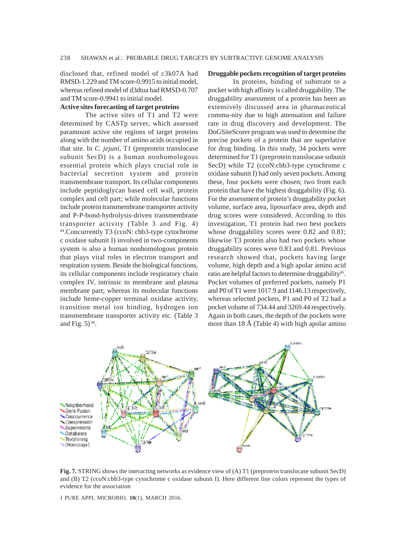disclosed that, refined model of c3k07A had RMSD-1.229 and TM score-0.9915 to initial model, whereas refined model of d3dtua had RMSD-0.707 and TM score-0.9941 to initial model.

### **Active sites forecasting of target proteins**

The active sites of T1 and T2 were determined by CASTp server, which assessed paramount active site regions of target proteins along with the number of amino acids occupied in that site. In *C. jejuni,* T1 (preprotein translocase subunit SecD) is a human nonhomologous essential protein which plays crucial role in bacterial secretion system and protein transmembrane transport. Its cellular components include peptidoglycan based cell wall, protein complex and cell part; while molecular functions include protein transmembrane transporter activity and P-P-bond-hydrolysis-driven transmembrane transporter activity (Table 3 and Fig. 4) 44.Concurrently T3 (ccoN: cbb3-type cytochrome c oxidase subunit I) involved in two-components system is also a human nonhomologous protein that plays vital roles in electron transport and respiration system. Beside the biological functions, its cellular components include respiratory chain complex IV, intrinsic to membrane and plasma membrane part; whereas its molecular functions include heme-copper terminal oxidase activity, transition metal ion binding, hydrogen ion transmembrane transporter activity etc. (Table 3 and Fig.  $5)$ <sup>44</sup>.

### **Druggable pockets recognition of target proteins**

In proteins, binding of substrate to a pocket with high affinity is called druggability. The druggability assessment of a protein has been an extensively discussed area in pharmaceutical commu-nity due to high attenuation and failure rate in drug discovery and development. The DoGSiteScorer program was used to determine the precise pockets of a protein that are superlative for drug binding. In this study, 34 pockets were determined for T1 (preprotein translocase subunit SecD) while T2 (ccoN:cbb3-type cytochrome c oxidase subunit I) had only seven pockets. Among these, four pockets were chosen; two from each protein that have the highest druggability (Fig. 6). For the assessment of protein's druggability pocket volume, surface area, liposurface area, depth and drug scores were considered. According to this investigation, T1 protein had two best pockets whose druggability scores were 0.82 and 0.81; likewise T3 protein also had two pockets whose druggability scores were 0.83 and 0.81. Previous research showed that, pockets having large volume, high depth and a high apolar amino acid ratio are helpful factors to determine druggability<sup>45</sup>. Pocket volumes of preferred pockets, namely P1 and P0 of T1 were 1017.9 and 1146.13 respectively, whereas selected pockets, P1 and P0 of T2 had a pocket volume of 734.44 and 3269.44 respectively. Again in both cases, the depth of the pockets were more than 18 Å (Table 4) with high apolar amino



**Fig. 7.** STRING shows the interacting networks as evidence view of (A) T1 (preprotein translocase subunit SecD) and (B) T2 (ccoN:cbb3-type cytochrome c oxidase subunit I). Here different line colors represent the types of evidence for the association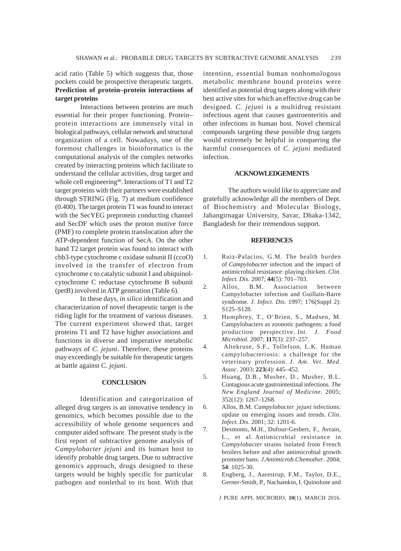### acid ratio (Table 5) which suggests that, those pockets could be prospective therapeutic targets. **Prediction of protein–protein interactions of target proteins**

Interactions between proteins are much essential for their proper functioning. Protein– protein interactions are immensely vital in biological pathways, cellular network and structural organization of a cell. Nowadays, one of the foremost challenges in bioinformatics is the computational analysis of the complex networks created by interacting proteins which facilitate to understand the cellular activities, drug target and whole cell engineering<sup>46</sup>. Interactions of T1 and T2 target proteins with their partners were established through STRING (Fig. 7) at medium confidence (0.400). The target protein T1 was found to interact with the SecYEG preprotein conducting channel and SecDF which uses the proton motive force (PMF) to complete protein translocation after the ATP-dependent function of SecA. On the other hand T2 target protein was found to interact with cbb3-type cytochrome c oxidase subunit II (ccoO) involved in the transfer of electron from cytochrome c to catalytic subunit I and ubiquinolcytochrome C reductase cytochrome B subunit (petB) involved in ATP generation (Table 6).

In these days, *in silico* identification and characterization of novel therapeutic target is the riding light for the treatment of various diseases. The current experiment showed that, target proteins T1 and T2 have higher associations and functions in diverse and imperative metabolic pathways of *C. jejuni*. Therefore, these proteins may exceedingly be suitable for therapeutic targets at battle against *C. jejuni*.

### **CONCLUSION**

Identification and categorization of alleged drug targets is an innovative tendency in genomics, which becomes possible due to the accessibility of whole genome sequences and computer aided software. The present study is the first report of subtractive genome analysis of *Campylobacter jejuni* and its human host to identify probable drug targets. Due to subtractive genomics approach, drugs designed to these targets would be highly specific for particular pathogen and nonlethal to its host. With that

intention, essential human nonhomologous metabolic membrane bound proteins were identified as potential drug targets along with their best active sites for which an effective drug can be designed. *C. jejuni* is a multidrug resistant infectious agent that causes gastroenteritis and other infections in human host. Novel chemical compounds targeting these possible drug targets would extremely be helpful in conquering the harmful consequences of *C. jejuni* mediated infection.

### **ACKNOWLEDGEMENTS**

The authors would like to appreciate and gratefully acknowledge all the members of Dept. of Biochemistry and Molecular Biology, Jahangirnagar University, Savar, Dhaka-1342, Bangladesh for their tremendous support.

### **REFERENCES**

- 1. Ruiz-Palacios, G.M. The health burden of *Campylobacter* infection and the impact of antimicrobial resistance: playing chicken. *Clin. Infect. Dis*. 2007; **44**(5): 701–703.
- 2. Allos, B.M. Association between Campylobacter infection and Guillain-Barre syndrome*. J. Infect. Dis*. 1997; 176(Suppl 2): S125–S128.
- 3. Humphrey, T., O'Brien, S., Madsen, M. Campylobacters as zoonotic pathogens: a food production perspective. *Int. J. Food Microbiol*. 2007; **117**(3): 237–257.
- 4. Altekruse, S.F., Tollefson, L.K. Human campylobacteriosis: a challenge for the veterinary profession. *J. Am. Vet. Med. Assoc*. 2003; **223**(4): 445–452.
- 5. Huang, D.B., Musher, D., Musher, B.L. Contagious acute gastrointestinal infections. *The New England Journal of Medicine*. 2005; 352(12): 1267–1268.
- 6. Allos, B.M. *Campylobacter jejuni* infections: update on emerging issues and trends. *Clin. Infect. Dis*. 2001; 32: 1201-6.
- 7. Desmonts, M.H., Dufour-Gesbert, F., Avrain, L., et al. Antimicrobial resistance in *Campylobacter* strains isolated from French broilers before and after antimicrobial growth promoter bans. *J.Antimicrob.Chemother*. 2004; **54**: 1025-30.
- 8. Engberg, J., Aarestrup, F.M., Taylor, D.E., Gerner-Smidt, P., Nachamkin, I. Quinolone and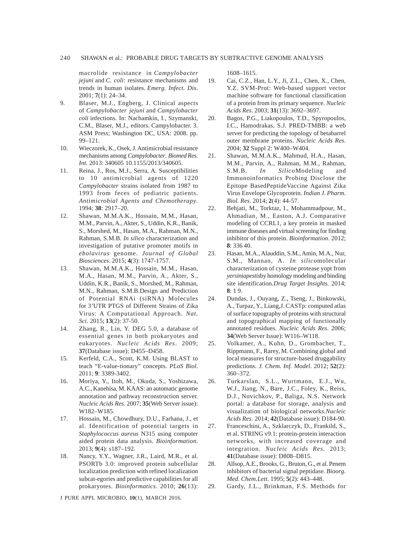macrolide resistance in *Campylobacter jejuni* and *C. coli*: resistance mechanisms and trends in human isolates. *Emerg. Infect. Dis*. 2001; **7**(1): 24–34.

- 9. Blaser, M.J., Engberg, J. Clinical aspects of *Campylobacter jejuni* and *Campylobacter coli* infections. In: Nachamkin, I., Szymanski, C.M., Blaser, M.J., editors. Campylobacter. 3. ASM Press; Washington DC, USA: 2008. pp. 99–121.
- 10. Wieczorek, K., Osek, J. Antimicrobial resistance mechanisms among *Campylobacter*. *Biomed Res. Int.* 2013: 340605 10.1155/2013/340605.
- 11. Reina, J., Ros, M.J., Serra, A. Susceptibilities to 10 antimicrobial agents of 1220 *Campylobacter* strains isolated from 1987 to 1993 from feces of pediatric patients. *Antimicrobial Agents and Chemotherapy*. 1994; **38**: 2917–20.
- 12. Shawan, M.M.A.K., Hossain, M.M., Hasan, M.M., Parvin, A., Akter, S., Uddin, K.R., Banik, S., Morshed, M., Hasan, M.A., Rahman, M.N., Rahman, S.M.B. *In silico* characterization and investigation of putative promoter motifs in *ebolavirus* genome. *Journal of Global Biosciences.* 2015; **4**(3): 1747-1757.
- 13. Shawan, M.M.A.K., Hossain, M.M., Hasan, M.A., Hasan, M.M., Parvin, A., Akter, S., Uddin, K.R., Banik, S., Morshed, M., Rahman, M.N., Rahman, S.M.B.Design and Prediction of Potential RNAi (siRNA) Molecules for 3'UTR PTGS of Different Strains of Zika Virus: A Computational Approach. *Nat. Sci.* 2015; **13**(2): 37-50.
- 14. Zhang, R., Lin, Y. DEG 5.0, a database of essential genes in both prokaryotes and eukaryotes. *Nucleic Acids Res*. 2009; **37**(Database issue): D455–D458.
- 15. Kerfeld, C.A., Scott, K.M. Using BLAST to teach "E-value-tionary" concepts. *PLoS Biol*. 2011; **9**: 3389-3402.
- 16. Moriya, Y., Itoh, M., Okuda, S., Yoshizawa, A.C., Kanehisa, M. KAAS: an automatic genome annotation and pathway reconstruction server. *Nucleic Acids Res*. 2007; **35**(Web Server issue): W182–W185.
- 17. Hossain, M., Chowdhury, D.U., Farhana, J., et al. Identification of potential targets in *Staphylococcus aureus* N315 using computer aided protein data analysis. *Bioinformation*. 2013; **9**(4): s187–192.
- 18. Nancy, Y.Y., Wagner, J.R., Laird, M.R., et al. PSORTb 3.0: improved protein subcellular localization prediction with refined localization subcat-egories and predictive capabilities for all prokaryotes. *Bioinformatics*. 2010; **26**(13):

J PURE APPL MICROBIO*,* **10**(1), MARCH 2016.

1608–1615.

- 19. Cai, C.Z., Han, L.Y., Ji, Z.L., Chen, X., Chen, Y.Z. SVM-Prot: Web-based support vector machine software for functional classification of a protein from its primary sequence. *Nucleic Acids Res*. 2003; **31**(13): 3692–3697.
- 20. Bagos, P.G., Liakopoulos, T.D., Spyropoulos, I.C., Hamodrakas, S.J. PRED-TMBB: a web server for predicting the topology of betabarrel outer membrane proteins. *Nucleic Acids Res*. 2004; **32** Suppl 2: W400–W404.
- 21. Shawan, M.M.A.K., Mahmud, H.A., Hasan, M.M., Parvin, A., Rahman, M.M., Rahman, S.M.B. *In Silico*Modeling and Immunoinformatics Probing Disclose the Epitope BasedPeptideVaccine Against Zika Virus Envelope Glycoprotein. *Indian J. Pharm. Biol. Res*. 2014; **2**(4): 44-57.
- 22. Behjati, M., Torktaz, I., Mohammadpour, M., Ahmadian, M., Easton, A.J. Comparative modeling of CCRL1, a key protein in masked immune diseases and virtual screening for finding inhibitor of this protein. *Bioinformation*. 2012; **8**: 336 40.
- 23. Hasan, M.A., Alauddin, S.M., Amin, M.A., Nur, S.M., Mannan, A. *In silico*molecular characterization of cysteine protease yopt from *yersiniapestis*by homology modeling and binding site identification.*Drug Target Insights.* 2014; **8**: 1 9.
- 24. Dundas, J., Ouyang, Z., Tseng, J., Binkowski, A., Turpaz, Y., Liang,J. CASTp: computed atlas of surface topography of proteins with structural and topographical mapping of functionally annotated residues. *Nucleic Acids Res*. 2006; **34**(Web Server Issue): W116–W118.
- 25. Volkamer, A., Kuhn, D., Grombacher, T., Rippmann, F., Rarey, M. Combining global and local measures for structure-based druggability predictions. *J. Chem. Inf. Model*. 2012; **52**(2): 360–372.
- 26. Turkarslan, S.L., Wurtmann, E.J., Wu, W.J., Jiang, N., Bare, J.C., Foley, K., Reiss, D.J., Novichkov, P., Baliga, N.S. Network portal: a database for storage, analysis and visualization of biological networks.*Nucleic Acids Res.* 2014; **42**(Database issue): D184-90.
- 27. Franceschini, A., Szklarczyk, D., Frankild, S., et al. STRING v9.1: protein-protein interaction networks, with increased coverage and integration. *Nucleic Acids Res*. 2013; **41**(Database issue): D808–D815.
- 28. Allsop, A.E., Brooks, G., Bruton, G., et al. Penem inhibitors of bacterial signal peptidase. *Bioorg. Med. Chem.Lett*. 1995; **5**(2): 443–448.
- 29. Gardy, J.L., Brinkman, F.S. Methods for